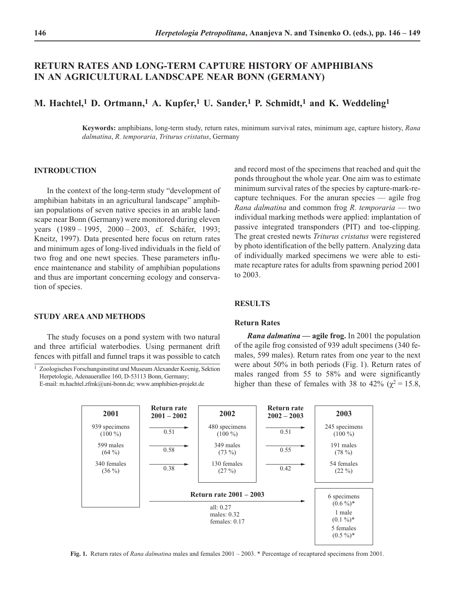# **RETURN RATES AND LONG-TERM CAPTURE HISTORY OF AMPHIBIANS IN AN AGRICULTURAL LANDSCAPE NEAR BONN (GERMANY)**

## **M. Hachtel,1 D. Ortmann,1 A. Kupfer,1 U. Sander,1 P. Schmidt,1 and K. Weddeling1**

**Keywords:** amphibians, long-term study, return rates, minimum survival rates, minimum age, capture history, *Rana dalmatina*, *R. temporaria*, *Triturus cristatus*, Germany

#### **INTRODUCTION**

In the context of the long-term study "development of amphibian habitats in an agricultural landscape" amphibian populations of seven native species in an arable landscape near Bonn (Germany) were monitored during eleven years (1989 – 1995, 2000 – 2003, cf. Schäfer, 1993; Kneitz, 1997). Data presented here focus on return rates and minimum ages of long-lived individuals in the field of two frog and one newt species. These parameters influence maintenance and stability of amphibian populations and thus are important concerning ecology and conservation of species.

and record most of the specimens that reached and quit the ponds throughout the whole year. One aim was to estimate minimum survival rates of the species by capture-mark-recapture techniques. For the anuran species — agile frog *Rana dalmatina* and common frog *R. temporaria* — two individual marking methods were applied: implantation of passive integrated transponders (PIT) and toe-clipping. The great crested newts *Triturus cristatus* were registered by photo identification of the belly pattern. Analyzing data of individually marked specimens we were able to estimate recapture rates for adults from spawning period 2001 to 2003.

## **RESULTS**

### **Return Rates**

*Rana dalmatina* **— agile frog.** In 2001 the population of the agile frog consisted of 939 adult specimens (340 females, 599 males). Return rates from one year to the next were about 50% in both periods (Fig. 1). Return rates of males ranged from 55 to 58% and were significantly higher than these of females with 38 to 42% ( $\chi^2$  = 15.8,



#### **Fig. 1.** Return rates of *Rana dalmatina* males and females 2001 – 2003. \* Percentage of recaptured specimens from 2001.

## **STUDY AREA AND METHODS**

The study focuses on a pond system with two natural and three artificial waterbodies. Using permanent drift fences with pitfall and funnel traps it was possible to catch

<sup>1</sup> Zoologisches Forschungsinstitut und Museum Alexander Koenig, Sektion Herpetologie, Adenauerallee 160, D-53113 Bonn, Germany; E-mail: m.hachtel.zfmk@uni-bonn.de; www.amphibien-projekt.de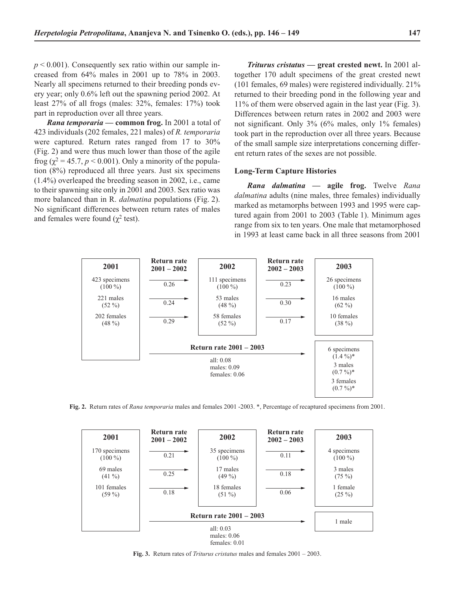$p < 0.001$ ). Consequently sex ratio within our sample increased from 64% males in 2001 up to 78% in 2003. Nearly all specimens returned to their breeding ponds every year; only 0.6% left out the spawning period 2002. At least 27% of all frogs (males: 32%, females: 17%) took part in reproduction over all three years.

*Rana temporaria* **— common frog.** In 2001 a total of 423 individuals (202 females, 221 males) of *R. temporaria* were captured. Return rates ranged from 17 to 30% (Fig. 2) and were thus much lower than those of the agile frog ( $\chi^2$  = 45.7, *p* < 0.001). Only a minority of the population (8%) reproduced all three years. Just six specimens (1.4%) overleaped the breeding season in 2002, i.e., came to their spawning site only in 2001 and 2003. Sex ratio was more balanced than in R. *dalmatina* populations (Fig. 2). No significant differences between return rates of males and females were found ( $\chi^2$  test).

*Triturus cristatus* **— great crested newt.** In 2001 altogether 170 adult specimens of the great crested newt (101 females, 69 males) were registered individually. 21% returned to their breeding pond in the following year and 11% of them were observed again in the last year (Fig. 3). Differences between return rates in 2002 and 2003 were not significant. Only 3% (6% males, only 1% females) took part in the reproduction over all three years. Because of the small sample size interpretations concerning different return rates of the sexes are not possible.

#### **Long-Term Capture Histories**

*Rana dalmatina* **— agile frog.** Twelve *Rana dalmatina* adults (nine males, three females) individually marked as metamorphs between 1993 and 1995 were captured again from 2001 to 2003 (Table 1). Minimum ages range from six to ten years. One male that metamorphosed in 1993 at least came back in all three seasons from 2001



**Fig. 2.** Return rates of *Rana temporaria* males and females 2001 -2003. \*, Percentage of recaptured specimens from 2001.

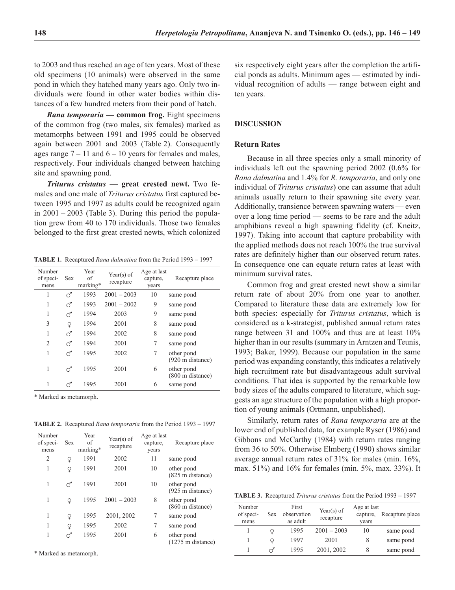to 2003 and thus reached an age of ten years. Most of these old specimens (10 animals) were observed in the same pond in which they hatched many years ago. Only two individuals were found in other water bodies within distances of a few hundred meters from their pond of hatch.

*Rana temporaria* **— common frog.** Eight specimens of the common frog (two males, six females) marked as metamorphs between 1991 and 1995 could be observed again between 2001 and 2003 (Table 2). Consequently ages range  $7 - 11$  and  $6 - 10$  years for females and males, respectively. Four individuals changed between hatching site and spawning pond.

*Triturus cristatus* **— great crested newt.** Two females and one male of *Triturus cristatus* first captured between 1995 and 1997 as adults could be recognized again in 2001 – 2003 (Table 3). During this period the population grew from 40 to 170 individuals. Those two females belonged to the first great crested newts, which colonized

**TABLE 1.** Recaptured *Rana dalmatina* from the Period 1993 – 1997

| Number<br>of speci-<br>mens | Sex | Year<br>of<br>marking* | Year(s) of<br>recapture | Age at last<br>capture,<br>years | Recapture place                          |
|-----------------------------|-----|------------------------|-------------------------|----------------------------------|------------------------------------------|
| 1                           | റ്  | 1993                   | $2001 - 2003$           | 10                               | same pond                                |
| 1                           | ൪   | 1993                   | $2001 - 2002$           | 9                                | same pond                                |
| 1                           | ൪   | 1994                   | 2003                    | 9                                | same pond                                |
| 3                           | Q   | 1994                   | 2001                    | 8                                | same pond                                |
|                             | ൪   | 1994                   | 2002                    | 8                                | same pond                                |
| $\mathfrak{D}$              | ൪   | 1994                   | 2001                    | 7                                | same pond                                |
| 1                           | ൪   | 1995                   | 2002                    |                                  | other pond<br>$(920 \text{ m}$ distance) |
| 1                           | ♂   | 1995                   | 2001                    | 6                                | other pond<br>$(800 \text{ m}$ distance) |
|                             | ನ   | 1995                   | 2001                    | 6                                | same pond                                |

\* Marked as metamorph.

**TABLE 2.** Recaptured *Rana temporaria* from the Period 1993 – 1997

| Number<br>of speci-<br>mens | <b>Sex</b> | Year<br>of<br>marking* | Year(s) of<br>recapture | Age at last<br>capture,<br>years | Recapture place                                   |
|-----------------------------|------------|------------------------|-------------------------|----------------------------------|---------------------------------------------------|
| $\overline{2}$              | Q          | 1991                   | 2002                    | 11                               | same pond                                         |
| 1                           | Q          | 1991                   | 2001                    | 10                               | other pond<br>(825 m distance)                    |
| 1                           | ನ          | 1991                   | 2001                    | 10                               | other pond<br>(925 m distance)                    |
| 1                           | Q          | 1995                   | $2001 - 2003$           | 8                                | other pond<br>$(860 \text{ m}$ distance)          |
| 1                           | Q          | 1995                   | 2001, 2002              | 7                                | same pond                                         |
| 1                           | Q          | 1995                   | 2002                    | 7                                | same pond                                         |
|                             | ಗ          | 1995                   | 2001                    | 6                                | other pond<br>$(1275 \text{ m} \text{ distance})$ |

\* Marked as metamorph.

six respectively eight years after the completion the artificial ponds as adults. Minimum ages — estimated by individual recognition of adults — range between eight and ten years.

### **DISCUSSION**

### **Return Rates**

Because in all three species only a small minority of individuals left out the spawning period 2002 (0.6% for *Rana dalmatina* and 1.4% for *R. temporaria*, and only one individual of *Triturus cristatus*) one can assume that adult animals usually return to their spawning site every year. Additionally, transience between spawning waters — even over a long time period — seems to be rare and the adult amphibians reveal a high spawning fidelity (cf. Kneitz, 1997). Taking into account that capture probability with the applied methods does not reach 100% the true survival rates are definitely higher than our observed return rates. In consequence one can equate return rates at least with minimum survival rates.

Common frog and great crested newt show a similar return rate of about 20% from one year to another. Compared to literature these data are extremely low for both species: especially for *Triturus cristatus*, which is considered as a k-strategist, published annual return rates range between 31 and 100% and thus are at least 10% higher than in our results (summary in Arntzen and Teunis, 1993; Baker, 1999). Because our population in the same period was expanding constantly, this indicates a relatively high recruitment rate but disadvantageous adult survival conditions. That idea is supported by the remarkable low body sizes of the adults compared to literature, which suggests an age structure of the population with a high proportion of young animals (Ortmann, unpublished).

Similarly, return rates of *Rana temporaria* are at the lower end of published data, for example Ryser (1986) and Gibbons and McCarthy (1984) with return rates ranging from 36 to 50%. Otherwise Elmberg (1990) shows similar average annual return rates of 31% for males (min. 16%, max. 51%) and 16% for females (min. 5%, max. 33%). It

**TABLE 3.** Recaptured *Triturus cristatus* from the Period 1993 – 1997

| Number<br>of speci-<br>mens | <b>Sex</b> | First<br>observation<br>as adult | Year(s) of<br>recapture | Age at last<br>capture,<br>years | Recapture place |
|-----------------------------|------------|----------------------------------|-------------------------|----------------------------------|-----------------|
|                             |            | 1995                             | $2001 - 2003$           | 10                               | same pond       |
|                             |            | 1997                             | 2001                    |                                  | same pond       |
|                             |            | 1995                             | 2001, 2002              | 8                                | same pond       |